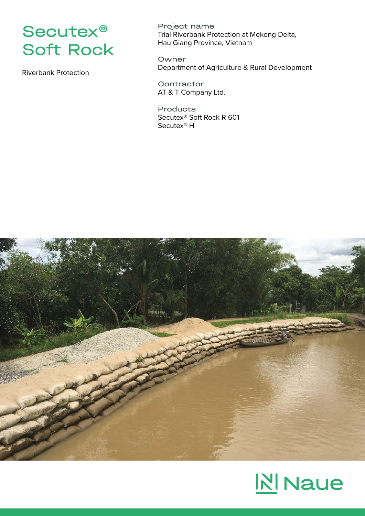

Riverbank Protection

Project name Trial Riverbank Protection at Mekong Delta, Hau Giang Province, Vietnam

Owner Department of Agriculture & Rural Development

**Contractor** AT & T Company Ltd.

Products Secutex® Soft Rock R 601 Secutex® H



## **NI** Naue